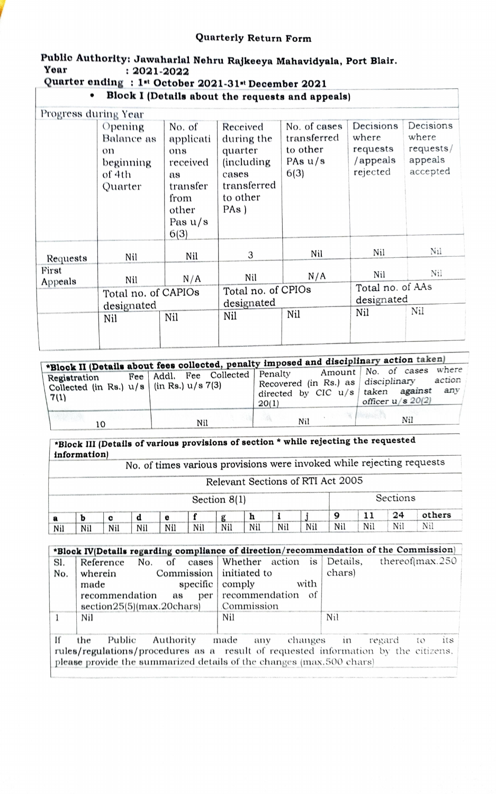## Quarterly Return Form

## Public Authorlty: Jawaharlal Nehru Rajkeeya Mahavidyala, Port Blair. Year : 2021-2022

## Quarter ending : 1<sup>st</sup> October 2021-31<sup>st</sup> December 2021

Block I (Detalls about the requests and appeals)

| Progress during Year |                                                               |                                                                                                |                                                                                                        |                                                              |                                                        |                                                        |  |
|----------------------|---------------------------------------------------------------|------------------------------------------------------------------------------------------------|--------------------------------------------------------------------------------------------------------|--------------------------------------------------------------|--------------------------------------------------------|--------------------------------------------------------|--|
|                      | Opening<br>Balance as<br>on<br>beginning<br>of 4th<br>Quarter | No. of<br>applicati<br>ons<br>received<br>as<br>transfer<br>from<br>other<br>Pas $u/s$<br>6(3) | Received<br>during the<br>quarter<br><i>(including)</i><br>cases<br>transferred<br>to other<br>$PAs$ ) | No. of cases<br>transferred<br>to other<br>PAs $u/s$<br>6(3) | Decisions<br>where<br>requests<br>/appeals<br>rejected | Decisions<br>where<br>requests/<br>appeals<br>accepted |  |
| Requests             | Nil                                                           | Nil                                                                                            | 3                                                                                                      | Nil                                                          | Nil                                                    | $N_{1}$                                                |  |
| First<br>Appeals     | Nil                                                           | N/A                                                                                            | Nil                                                                                                    | N/A                                                          | Nil                                                    | Nil                                                    |  |
|                      | Total no. of CAPIOs<br>designated                             |                                                                                                | Total no. of CPIOs<br>designated                                                                       |                                                              | Total no. of AAs<br>designated                         |                                                        |  |
|                      | Nil                                                           | Nil                                                                                            | Nil                                                                                                    | Nil                                                          | Nil                                                    | Nil                                                    |  |

| Registration<br>Collected (in Rs.) $u/s$ (in Rs.) $u/s$ 7(3)<br>7(1) | Fee   Addl. Fee Collected   Penalty | *Block II (Details about fees collected, penalty imposed and disciplinary action taken)<br>Recovered (in Rs.) as disciplinary<br>directed by CIC u/s taken against<br>20(1) | where<br>Amount   No. of cases<br>action<br>any<br>officer $u/s$ 20(2) |
|----------------------------------------------------------------------|-------------------------------------|-----------------------------------------------------------------------------------------------------------------------------------------------------------------------------|------------------------------------------------------------------------|
| 10                                                                   | Nil                                 | Nil                                                                                                                                                                         | Nil                                                                    |

\*Block III (Details of various provisions of section \* while rejecting the requested

information) No. of times various provisions were invoked while rejecting requests

| Relevant Sections of RTI Act 2005 |  |  |
|-----------------------------------|--|--|

|     |     |     |     |     |     | Section $8(1)$ |     |     |     |     |     | Sections |        |
|-----|-----|-----|-----|-----|-----|----------------|-----|-----|-----|-----|-----|----------|--------|
|     |     |     |     |     |     |                | n   |     |     |     |     | 0Δ       | others |
| Nil | Nil | Nil | Nil | Nil | Nil | Nil            | Nil | Nil | Nil | Nil | Nil | Nil      | Nil    |

| *Block IV(Details regarding compliance of direction/recommendation of the Commission) |                                                                                    |                   |                                                          |  |  |  |  |  |
|---------------------------------------------------------------------------------------|------------------------------------------------------------------------------------|-------------------|----------------------------------------------------------|--|--|--|--|--|
| Sl.                                                                                   | Reference                                                                          |                   | No. of cases Whether action is Details, thereof max. 250 |  |  |  |  |  |
| No.                                                                                   | Commission   initiated to<br>wherein                                               |                   | chars)                                                   |  |  |  |  |  |
|                                                                                       | specific $\vert$ comply<br>made                                                    | with              |                                                          |  |  |  |  |  |
|                                                                                       | recommendation<br>per<br>as                                                        | recommendation of |                                                          |  |  |  |  |  |
|                                                                                       | $section25(5)$ (max.20chars)                                                       | Commission        |                                                          |  |  |  |  |  |
|                                                                                       | Nil                                                                                | Nil               | Nil                                                      |  |  |  |  |  |
|                                                                                       |                                                                                    |                   |                                                          |  |  |  |  |  |
| Ħ<br>Public<br>Authority<br>made<br>the<br>changes in regard to<br>its<br>any         |                                                                                    |                   |                                                          |  |  |  |  |  |
|                                                                                       | rules/regulations/procedures as a result of requested information by the citizens. |                   |                                                          |  |  |  |  |  |

please provide the summarized details of the changes (max.500 chars)